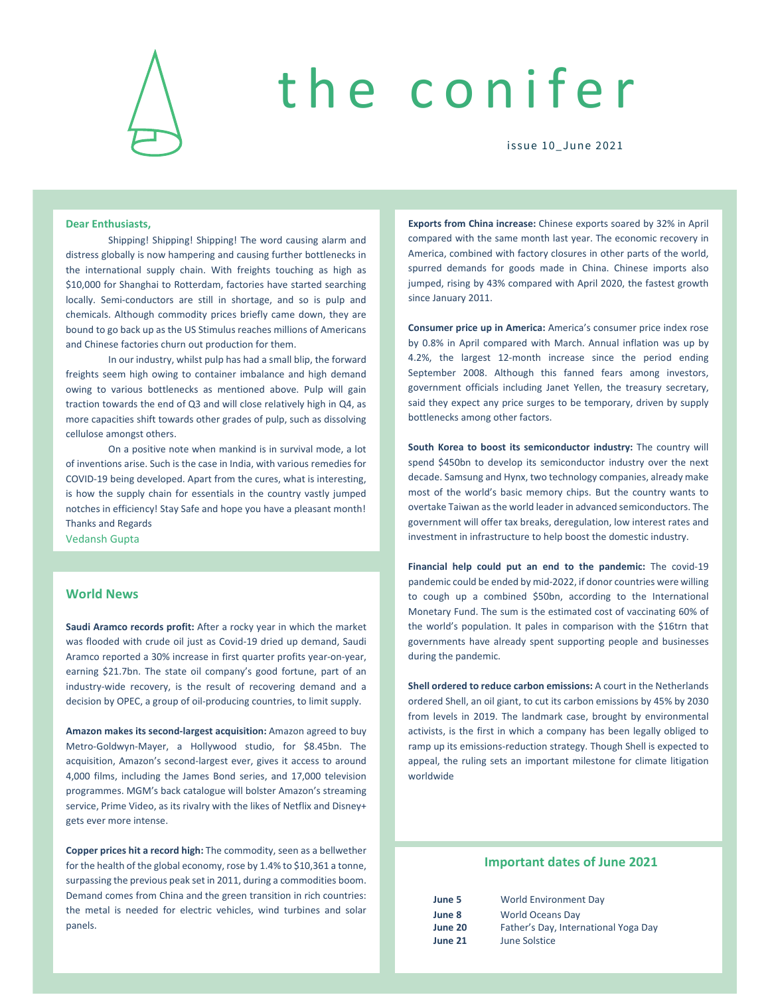

# the conifer

issue 10\_June 2021

#### **Dear Enthusiasts,**

Shipping! Shipping! Shipping! The word causing alarm and distress globally is now hampering and causing further bottlenecks in the international supply chain. With freights touching as high as \$10,000 for Shanghai to Rotterdam, factories have started searching locally. Semi-conductors are still in shortage, and so is pulp and chemicals. Although commodity prices briefly came down, they are bound to go back up as the US Stimulus reaches millions of Americans and Chinese factories churn out production for them.

In our industry, whilst pulp has had a small blip, the forward freights seem high owing to container imbalance and high demand owing to various bottlenecks as mentioned above. Pulp will gain traction towards the end of Q3 and will close relatively high in Q4, as more capacities shift towards other grades of pulp, such as dissolving cellulose amongst others.

On a positive note when mankind is in survival mode, a lot of inventions arise. Such is the case in India, with various remedies for COVID‐19 being developed. Apart from the cures, what is interesting, is how the supply chain for essentials in the country vastly jumped notches in efficiency! Stay Safe and hope you have a pleasant month! Thanks and Regards

Vedansh Gupta

## **World News**

**Saudi Aramco records profit:** After a rocky year in which the market was flooded with crude oil just as Covid‐19 dried up demand, Saudi Aramco reported a 30% increase in first quarter profits year‐on‐year, earning \$21.7bn. The state oil company's good fortune, part of an industry‐wide recovery, is the result of recovering demand and a decision by OPEC, a group of oil‐producing countries, to limit supply.

**Amazon makes its second‐largest acquisition:** Amazon agreed to buy Metro‐Goldwyn‐Mayer, a Hollywood studio, for \$8.45bn. The acquisition, Amazon's second‐largest ever, gives it access to around 4,000 films, including the James Bond series, and 17,000 television programmes. MGM's back catalogue will bolster Amazon's streaming service, Prime Video, as its rivalry with the likes of Netflix and Disney+ gets ever more intense.

**Copper prices hit a record high:** The commodity, seen as a bellwether for the health of the global economy, rose by 1.4% to \$10,361 a tonne, surpassing the previous peak set in 2011, during a commodities boom. Demand comes from China and the green transition in rich countries: the metal is needed for electric vehicles, wind turbines and solar panels.

**Exports from China increase:** Chinese exports soared by 32% in April compared with the same month last year. The economic recovery in America, combined with factory closures in other parts of the world, spurred demands for goods made in China. Chinese imports also jumped, rising by 43% compared with April 2020, the fastest growth since January 2011.

**Consumer price up in America:** America's consumer price index rose by 0.8% in April compared with March. Annual inflation was up by 4.2%, the largest 12‐month increase since the period ending September 2008. Although this fanned fears among investors, government officials including Janet Yellen, the treasury secretary, said they expect any price surges to be temporary, driven by supply bottlenecks among other factors.

**South Korea to boost its semiconductor industry:** The country will spend \$450bn to develop its semiconductor industry over the next decade. Samsung and Hynx, two technology companies, already make most of the world's basic memory chips. But the country wants to overtake Taiwan asthe world leader in advanced semiconductors. The government will offer tax breaks, deregulation, low interest rates and investment in infrastructure to help boost the domestic industry.

**Financial help could put an end to the pandemic:** The covid‐19 pandemic could be ended by mid‐2022, if donor countries were willing to cough up a combined \$50bn, according to the International Monetary Fund. The sum is the estimated cost of vaccinating 60% of the world's population. It pales in comparison with the \$16trn that governments have already spent supporting people and businesses during the pandemic.

**Shell ordered to reduce carbon emissions:** A court in the Netherlands ordered Shell, an oil giant, to cut its carbon emissions by 45% by 2030 from levels in 2019. The landmark case, brought by environmental activists, is the first in which a company has been legally obliged to ramp up its emissions-reduction strategy. Though Shell is expected to appeal, the ruling sets an important milestone for climate litigation worldwide

#### **Important dates of June 2021**

| June 5  | <b>World Environment Day</b>         |
|---------|--------------------------------------|
| June 8  | <b>World Oceans Day</b>              |
| June 20 | Father's Day, International Yoga Day |
| June 21 | June Solstice                        |